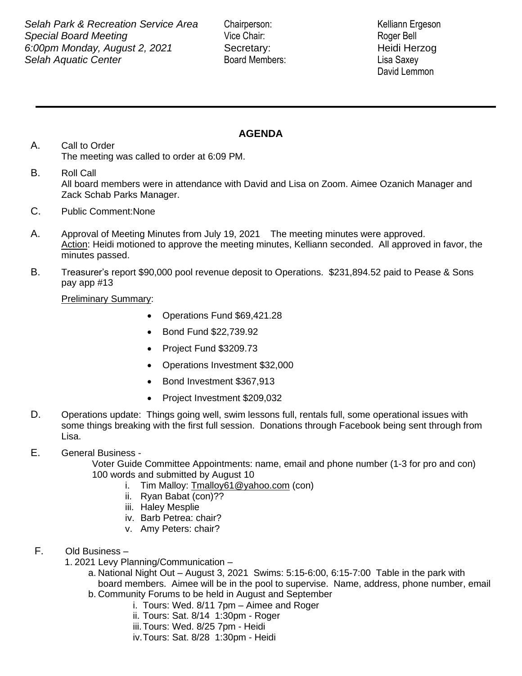**Example 2001 Contract Contract Contract Contract Center**<br> **Selah Aquatic Center** Board Members: Lisa Saxey **Selah Park & Recreation Service Area** Chairperson: Kelliann Ergeson **Special Board Meeting Community Community Community Vice Chair:** Roger Bell *6:00pm Monday, August 2, 2021* Secretary: Heidi Herzog

David Lemmon

## **AGENDA**

- A. Call to Order The meeting was called to order at 6:09 PM.
- B. Roll Call All board members were in attendance with David and Lisa on Zoom. Aimee Ozanich Manager and Zack Schab Parks Manager.
- C. Public Comment:None
- A. Approval of Meeting Minutes from July 19, 2021 The meeting minutes were approved. Action: Heidi motioned to approve the meeting minutes, Kelliann seconded. All approved in favor, the minutes passed.
- B. Treasurer's report \$90,000 pool revenue deposit to Operations. \$231,894.52 paid to Pease & Sons pay app #13

Preliminary Summary:

- Operations Fund \$69,421.28
- Bond Fund \$22,739.92
- Project Fund \$3209.73
- Operations Investment \$32,000
- Bond Investment \$367,913
- Project Investment \$209,032
- D. Operations update: Things going well, swim lessons full, rentals full, some operational issues with some things breaking with the first full session. Donations through Facebook being sent through from Lisa.

## E. General Business -

Voter Guide Committee Appointments: name, email and phone number (1-3 for pro and con) 100 words and submitted by August 10

- i. Tim Malloy: [Tmalloy61@yahoo.com](mailto:Tmalloy61@yahoo.com) (con)
- ii. Ryan Babat (con)??
- iii. Haley Mesplie
- iv. Barb Petrea: chair?
- v. Amy Peters: chair?
- F. Old Business
	- 1. 2021 Levy Planning/Communication
		- a. National Night Out August 3, 2021 Swims: 5:15-6:00, 6:15-7:00 Table in the park with board members. Aimee will be in the pool to supervise. Name, address, phone number, email
		- b. Community Forums to be held in August and September
			- i. Tours: Wed. 8/11 7pm Aimee and Roger
			- ii. Tours: Sat. 8/14 1:30pm Roger
			- iii.Tours: Wed. 8/25 7pm Heidi
			- iv.Tours: Sat. 8/28 1:30pm Heidi